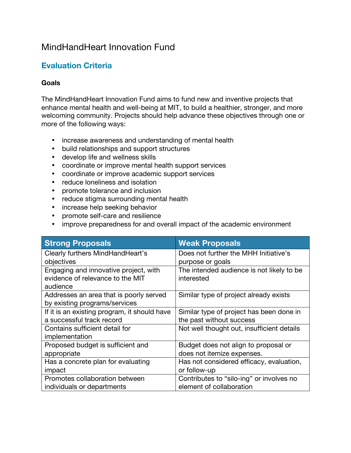## MindHandHeart Innovation Fund

## **Evaluation Criteria**

## **Goals**

The MindHandHeart Innovation Fund aims to fund new and inventive projects that enhance mental health and well-being at MIT, to build a healthier, stronger, and more welcoming community. Projects should help advance these objectives through one or more of the following ways:

- increase awareness and understanding of mental health
- build relationships and support structures
- develop life and wellness skills
- coordinate or improve mental health support services
- coordinate or improve academic support services
- reduce loneliness and isolation
- promote tolerance and inclusion
- reduce stigma surrounding mental health
- increase help seeking behavior
- promote self-care and resilience
- improve preparedness for and overall impact of the academic environment

| <b>Strong Proposals</b>                      | <b>Weak Proposals</b>                      |
|----------------------------------------------|--------------------------------------------|
| Clearly furthers MindHandHeart's             | Does not further the MHH Initiative's      |
| objectives                                   | purpose or goals                           |
| Engaging and innovative project, with        | The intended audience is not likely to be  |
| evidence of relevance to the MIT             | interested                                 |
| audience                                     |                                            |
| Addresses an area that is poorly served      | Similar type of project already exists     |
| by existing programs/services                |                                            |
| If it is an existing program, it should have | Similar type of project has been done in   |
| a successful track record                    | the past without success                   |
| Contains sufficient detail for               | Not well thought out, insufficient details |
| implementation                               |                                            |
| Proposed budget is sufficient and            | Budget does not align to proposal or       |
| appropriate                                  | does not itemize expenses.                 |
| Has a concrete plan for evaluating           | Has not considered efficacy, evaluation,   |
| impact                                       | or follow-up                               |
| Promotes collaboration between               | Contributes to "silo-ing" or involves no   |
| individuals or departments                   | element of collaboration                   |